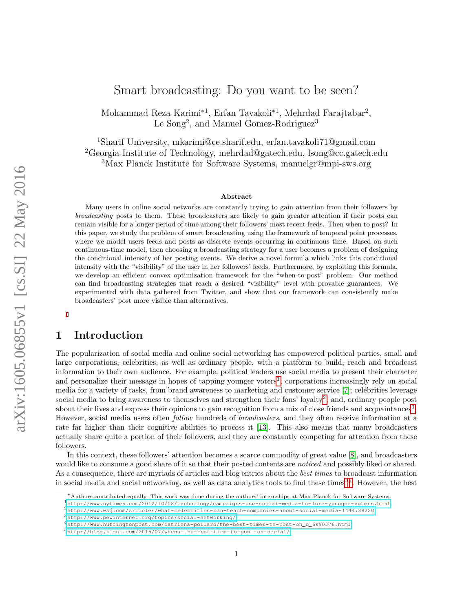# Smart broadcasting: Do you want to be seen?

Mohammad Reza Karimi<sup>\*1</sup>, Erfan Tavakoli<sup>\*1</sup>, Mehrdad Farajtabar<sup>2</sup>, Le Song<sup>2</sup>, and Manuel Gomez-Rodriguez<sup>3</sup>

<sup>1</sup>Sharif University, mkarimi@ce.sharif.edu, erfan.tavakoli71@gmail.com <sup>2</sup>Georgia Institute of Technology, mehrdad@gatech.edu, lsong@cc.gatech.edu <sup>3</sup>Max Planck Institute for Software Systems, manuelgr@mpi-sws.org

#### Abstract

Many users in online social networks are constantly trying to gain attention from their followers by broadcasting posts to them. These broadcasters are likely to gain greater attention if their posts can remain visible for a longer period of time among their followers' most recent feeds. Then when to post? In this paper, we study the problem of smart broadcasting using the framework of temporal point processes, where we model users feeds and posts as discrete events occurring in continuous time. Based on such continuous-time model, then choosing a broadcasting strategy for a user becomes a problem of designing the conditional intensity of her posting events. We derive a novel formula which links this conditional intensity with the "visibility" of the user in her followers' feeds. Furthermore, by exploiting this formula, we develop an efficient convex optimization framework for the "when-to-post" problem. Our method can find broadcasting strategies that reach a desired "visibility" level with provable guarantees. We experimented with data gathered from Twitter, and show that our framework can consistently make broadcasters' post more visible than alternatives.

# <span id="page-0-5"></span>1 Introduction

The popularization of social media and online social networking has empowered political parties, small and large corporations, celebrities, as well as ordinary people, with a platform to build, reach and broadcast information to their own audience. For example, political leaders use social media to present their character and personalize their message in hopes of tapping younger voters<sup>[1](#page-0-0)</sup>; corporations increasingly rely on social media for a variety of tasks, from brand awareness to marketing and customer service [\[7\]](#page-13-0); celebrities leverage social media to bring awareness to themselves and strengthen their fans' loyalty<sup>[2](#page-0-1)</sup>; and, ordinary people post about their lives and express their opinions to gain recognition from a mix of close friends and acquaintances<sup>[3](#page-0-2)</sup>. However, social media users often follow hundreds of broadcasters, and they often receive information at a rate far higher than their cognitive abilities to process it [\[13\]](#page-13-1). This also means that many broadcasters actually share quite a portion of their followers, and they are constantly competing for attention from these followers.

In this context, these followers' attention becomes a scarce commodity of great value [\[8\]](#page-13-2), and broadcasters would like to consume a good share of it so that their posted contents are noticed and possibly liked or shared. As a consequence, there are myriads of articles and blog entries about the best times to broadcast information in social media and social networking, as well as data analytics tools to find these times<sup>[4](#page-0-3)[5](#page-0-4)</sup>. However, the best

<sup>∗</sup>Authors contributed equally. This work was done during the authors' internships at Max Planck for Software Systems.

<span id="page-0-0"></span><sup>1</sup><http://www.nytimes.com/2012/10/08/technology/campaigns-use-social-media-to-lure-younger-voters.html>

<span id="page-0-1"></span> $^2$ <http://www.wsj.com/articles/what-celebrities-can-teach-companies-about-social-media-1444788220>

<span id="page-0-2"></span><sup>3</sup><http://www.pewinternet.org/topics/social-networking/>

<span id="page-0-3"></span><sup>4</sup>[http://www.huffingtonpost.com/catriona-pollard/the-best-times-to-post-on\\_b\\_6990376.html](http://www.huffingtonpost.com/catriona-pollard/the-best-times-to-post-on_b_6990376.html)

<span id="page-0-4"></span><sup>5</sup><http://blog.klout.com/2015/07/whens-the-best-time-to-post-on-social/>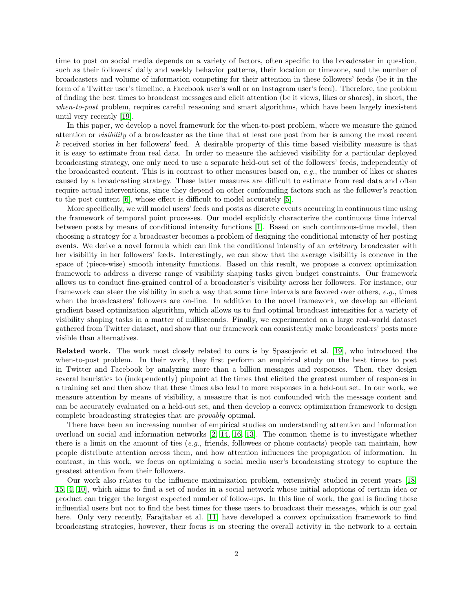time to post on social media depends on a variety of factors, often specific to the broadcaster in question, such as their followers' daily and weekly behavior patterns, their location or timezone, and the number of broadcasters and volume of information competing for their attention in these followers' feeds (be it in the form of a Twitter user's timeline, a Facebook user's wall or an Instagram user's feed). Therefore, the problem of finding the best times to broadcast messages and elicit attention (be it views, likes or shares), in short, the when-to-post problem, requires careful reasoning and smart algorithms, which have been largely inexistent until very recently [\[19\]](#page-13-3).

In this paper, we develop a novel framework for the when-to-post problem, where we measure the gained attention or visibility of a broadcaster as the time that at least one post from her is among the most recent k received stories in her followers' feed. A desirable property of this time based visibility measure is that it is easy to estimate from real data. In order to measure the achieved visibility for a particular deployed broadcasting strategy, one only need to use a separate held-out set of the followers' feeds, independently of the broadcasted content. This is in contrast to other measures based on,  $e.g.,$  the number of likes or shares caused by a broadcasting strategy. These latter measures are difficult to estimate from real data and often require actual interventions, since they depend on other confounding factors such as the follower's reaction to the post content [\[6\]](#page-12-0), whose effect is difficult to model accurately [\[5\]](#page-12-1).

More specifically, we will model users' feeds and posts as discrete events occurring in continuous time using the framework of temporal point processes. Our model explicitly characterize the continuous time interval between posts by means of conditional intensity functions [\[1\]](#page-12-2). Based on such continuous-time model, then choosing a strategy for a broadcaster becomes a problem of designing the conditional intensity of her posting events. We derive a novel formula which can link the conditional intensity of an *arbitrary* broadcaster with her visibility in her followers' feeds. Interestingly, we can show that the average visibility is concave in the space of (piece-wise) smooth intensity functions. Based on this result, we propose a convex optimization framework to address a diverse range of visibility shaping tasks given budget constraints. Our framework allows us to conduct fine-grained control of a broadcaster's visibility across her followers. For instance, our framework can steer the visibility in such a way that some time intervals are favored over others, e.g., times when the broadcasters' followers are on-line. In addition to the novel framework, we develop an efficient gradient based optimization algorithm, which allows us to find optimal broadcast intensities for a variety of visibility shaping tasks in a matter of milliseconds. Finally, we experimented on a large real-world dataset gathered from Twitter dataset, and show that our framework can consistently make broadcasters' posts more visible than alternatives.

Related work. The work most closely related to ours is by Spasojevic et al. [\[19\]](#page-13-3), who introduced the when-to-post problem. In their work, they first perform an empirical study on the best times to post in Twitter and Facebook by analyzing more than a billion messages and responses. Then, they design several heuristics to (independently) pinpoint at the times that elicited the greatest number of responses in a training set and then show that these times also lead to more responses in a held-out set. In our work, we measure attention by means of visibility, a measure that is not confounded with the message content and can be accurately evaluated on a held-out set, and then develop a convex optimization framework to design complete broadcasting strategies that are provably optimal.

There have been an increasing number of empirical studies on understanding attention and information overload on social and information networks [\[2,](#page-12-3) [14,](#page-13-4) [16,](#page-13-5) [13\]](#page-13-1). The common theme is to investigate whether there is a limit on the amount of ties  $(e.g.,$  friends, followees or phone contacts) people can maintain, how people distribute attention across them, and how attention influences the propagation of information. In contrast, in this work, we focus on optimizing a social media user's broadcasting strategy to capture the greatest attention from their followers.

Our work also relates to the influence maximization problem, extensively studied in recent years [\[18,](#page-13-6) [15,](#page-13-7) [4,](#page-12-4) [10\]](#page-13-8), which aims to find a set of nodes in a social network whose initial adoptions of certain idea or product can trigger the largest expected number of follow-ups. In this line of work, the goal is finding these influential users but not to find the best times for these users to broadcast their messages, which is our goal here. Only very recently, Farajtabar et al. [\[11\]](#page-13-9) have developed a convex optimization framework to find broadcasting strategies, however, their focus is on steering the overall activity in the network to a certain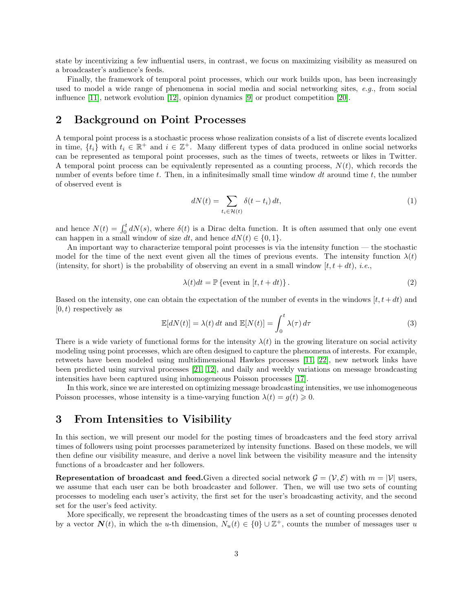state by incentivizing a few influential users, in contrast, we focus on maximizing visibility as measured on a broadcaster's audience's feeds.

Finally, the framework of temporal point processes, which our work builds upon, has been increasingly used to model a wide range of phenomena in social media and social networking sites, e.g., from social influence [\[11\]](#page-13-9), network evolution [\[12\]](#page-13-10), opinion dynamics [\[9\]](#page-13-11) or product competition [\[20\]](#page-13-12).

#### <span id="page-2-0"></span>2 Background on Point Processes

A temporal point process is a stochastic process whose realization consists of a list of discrete events localized in time,  $\{t_i\}$  with  $t_i \in \mathbb{R}^+$  and  $i \in \mathbb{Z}^+$ . Many different types of data produced in online social networks can be represented as temporal point processes, such as the times of tweets, retweets or likes in Twitter. A temporal point process can be equivalently represented as a counting process,  $N(t)$ , which records the number of events before time t. Then, in a infinitesimally small time window  $dt$  around time t, the number of observed event is

$$
dN(t) = \sum_{t_i \in \mathcal{H}(t)} \delta(t - t_i) dt,\tag{1}
$$

and hence  $N(t) = \int_0^t dN(s)$ , where  $\delta(t)$  is a Dirac delta function. It is often assumed that only one event can happen in a small window of size dt, and hence  $dN(t) \in \{0, 1\}.$ 

An important way to characterize temporal point processes is via the intensity function — the stochastic model for the time of the next event given all the times of previous events. The intensity function  $\lambda(t)$ (intensity, for short) is the probability of observing an event in a small window  $[t, t + dt)$ , *i.e.*,

$$
\lambda(t)dt = \mathbb{P}\left\{\text{event in } [t, t+dt)\right\}.
$$
\n(2)

Based on the intensity, one can obtain the expectation of the number of events in the windows  $[t, t + dt]$  and  $[0, t)$  respectively as

$$
\mathbb{E}[dN(t)] = \lambda(t) dt \text{ and } \mathbb{E}[N(t)] = \int_0^t \lambda(\tau) d\tau
$$
\n(3)

There is a wide variety of functional forms for the intensity  $\lambda(t)$  in the growing literature on social activity modeling using point processes, which are often designed to capture the phenomena of interests. For example, retweets have been modeled using multidimensional Hawkes processes [\[11,](#page-13-9) [22\]](#page-13-13), new network links have been predicted using survival processes [\[21,](#page-13-14) [12\]](#page-13-10), and daily and weekly variations on message broadcasting intensities have been captured using inhomogeneous Poisson processes [\[17\]](#page-13-15).

In this work, since we are interested on optimizing message broadcasting intensities, we use inhomogeneous Poisson processes, whose intensity is a time-varying function  $\lambda(t) = g(t) \geq 0$ .

#### <span id="page-2-1"></span>3 From Intensities to Visibility

In this section, we will present our model for the posting times of broadcasters and the feed story arrival times of followers using point processes parameterized by intensity functions. Based on these models, we will then define our visibility measure, and derive a novel link between the visibility measure and the intensity functions of a broadcaster and her followers.

Representation of broadcast and feed. Given a directed social network  $\mathcal{G} = (\mathcal{V}, \mathcal{E})$  with  $m = |\mathcal{V}|$  users, we assume that each user can be both broadcaster and follower. Then, we will use two sets of counting processes to modeling each user's activity, the first set for the user's broadcasting activity, and the second set for the user's feed activity.

More specifically, we represent the broadcasting times of the users as a set of counting processes denoted by a vector  $\mathbf{N}(t)$ , in which the u-th dimension,  $N_u(t) \in \{0\} \cup \mathbb{Z}^+$ , counts the number of messages user u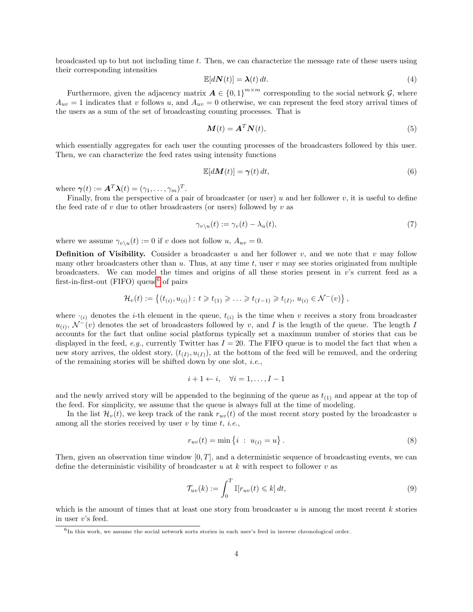broadcasted up to but not including time t. Then, we can characterize the message rate of these users using their corresponding intensities

<span id="page-3-1"></span>
$$
\mathbb{E}[d\mathbf{N}(t)] = \boldsymbol{\lambda}(t) \, dt. \tag{4}
$$

Furthermore, given the adjacency matrix  $A \in \{0,1\}^{m \times m}$  corresponding to the social network  $\mathcal{G}$ , where  $A_{uv} = 1$  indicates that v follows u, and  $A_{uv} = 0$  otherwise, we can represent the feed story arrival times of the users as a sum of the set of broadcasting counting processes. That is

$$
\mathbf{M}(t) = \mathbf{A}^T \mathbf{N}(t),\tag{5}
$$

which essentially aggregates for each user the counting processes of the broadcasters followed by this user. Then, we can characterize the feed rates using intensity functions

$$
\mathbb{E}[d\mathbf{M}(t)] = \gamma(t) dt,\tag{6}
$$

where  $\boldsymbol{\gamma}(t) := \boldsymbol{A}^T \boldsymbol{\lambda}(t) = (\gamma_1, \dots, \gamma_m)^T$ .

Finally, from the perspective of a pair of broadcaster (or user) u and her follower  $v$ , it is useful to define the feed rate of  $v$  due to other broadcasters (or users) followed by  $v$  as

<span id="page-3-2"></span>
$$
\gamma_{v \setminus u}(t) := \gamma_v(t) - \lambda_u(t),\tag{7}
$$

where we assume  $\gamma_{v\setminus u}(t) := 0$  if v does not follow  $u, A_{uv} = 0$ .

**Definition of Visibility.** Consider a broadcaster u and her follower v, and we note that v may follow many other broadcasters other than  $u$ . Thus, at any time t, user  $v$  may see stories originated from multiple broadcasters. We can model the times and origins of all these stories present in v's current feed as a first-in-first-out (FIFO) queue<sup>[6](#page-3-0)</sup> of pairs

$$
\mathcal{H}_v(t) := \left\{ (t_{(i)}, u_{(i)}) : t \geq t_{(1)} \geq \ldots \geq t_{(I-1)} \geq t_{(I)}, u_{(i)} \in \mathcal{N}^-(v) \right\},\
$$

where  $\cdot_{(i)}$  denotes the *i*-th element in the queue,  $t_{(i)}$  is the time when v receives a story from broadcaster  $u_{(i)}$ ,  $\mathcal{N}^-(v)$  denotes the set of broadcasters followed by v, and I is the length of the queue. The length I accounts for the fact that online social platforms typically set a maximum number of stories that can be displayed in the feed, e.g., currently Twitter has  $I = 20$ . The FIFO queue is to model the fact that when a new story arrives, the oldest story,  $(t_{(I)}, u_{(I)})$ , at the bottom of the feed will be removed, and the ordering of the remaining stories will be shifted down by one slot, i.e.,

$$
i+1 \leftarrow i, \quad \forall i = 1, \dots, I-1
$$

and the newly arrived story will be appended to the beginning of the queue as  $t_{(1)}$  and appear at the top of the feed. For simplicity, we assume that the queue is always full at the time of modeling.

In the list  $\mathcal{H}_v(t)$ , we keep track of the rank  $r_{uv}(t)$  of the most recent story posted by the broadcaster u among all the stories received by user  $v$  by time  $t, i.e.,$ 

$$
r_{uv}(t) = \min\{i : u_{(i)} = u\}.
$$
\n(8)

Then, given an observation time window  $[0, T]$ , and a deterministic sequence of broadcasting events, we can define the deterministic visibility of broadcaster u at  $k$  with respect to follower v as

$$
\mathcal{T}_{uv}(k) := \int_0^T \mathbb{I}[r_{uv}(t) \leq k] dt,
$$
\n(9)

which is the amount of times that at least one story from broadcaster  $u$  is among the most recent  $k$  stories in user v's feed.

<span id="page-3-0"></span><sup>6</sup> In this work, we assume the social network sorts stories in each user's feed in inverse chronological order.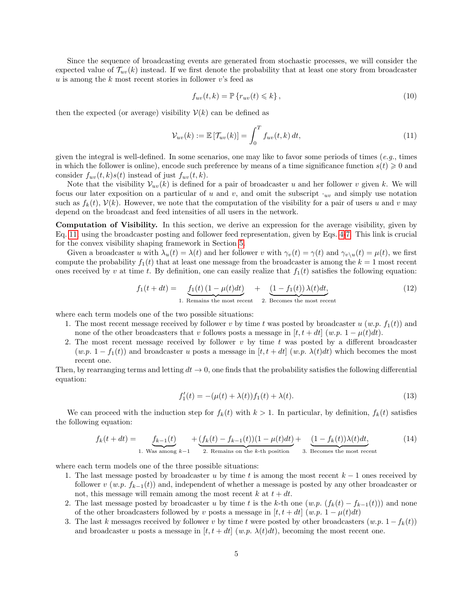Since the sequence of broadcasting events are generated from stochastic processes, we will consider the expected value of  $\mathcal{T}_{uv}(k)$  instead. If we first denote the probability that at least one story from broadcaster u is among the k most recent stories in follower  $v$ 's feed as

$$
f_{uv}(t,k) = \mathbb{P}\left\{r_{uv}(t) \leq k\right\},\tag{10}
$$

then the expected (or average) visibility  $\mathcal{V}(k)$  can be defined as

<span id="page-4-0"></span>
$$
\mathcal{V}_{uv}(k) := \mathbb{E}\left[\mathcal{T}_{uv}(k)\right] = \int_0^T f_{uv}(t, k) dt,
$$
\n(11)

given the integral is well-defined. In some scenarios, one may like to favor some periods of times  $(e.g.,$  times in which the follower is online), encode such preference by means of a time significance function  $s(t) \geq 0$  and consider  $f_{uv}(t, k)s(t)$  instead of just  $f_{uv}(t, k)$ .

Note that the visibility  $\mathcal{V}_{uv}(k)$  is defined for a pair of broadcaster u and her follower v given k. We will focus our later exposition on a particular of u and v, and omit the subscript  $\cdot_{uv}$  and simply use notation such as  $f_k(t)$ ,  $V(k)$ . However, we note that the computation of the visibility for a pair of users u and v may depend on the broadcast and feed intensities of all users in the network.

Computation of Visibility. In this section, we derive an expression for the average visibility, given by Eq. [11,](#page-4-0) using the broadcaster posting and follower feed representation, given by Eqs. [4-](#page-3-1)[7.](#page-3-2) This link is crucial for the convex visibility shaping framework in Section [5.](#page-7-0)

Given a broadcaster u with  $\lambda_u(t) = \lambda(t)$  and her follower v with  $\gamma_v(t) = \gamma(t)$  and  $\gamma_{v\setminus u}(t) = \mu(t)$ , we first compute the probability  $f_1(t)$  that at least one message from the broadcaster is among the  $k = 1$  most recent ones received by v at time t. By definition, one can easily realize that  $f_1(t)$  satisfies the following equation:

$$
f_1(t+dt) = \underbrace{f_1(t) (1 - \mu(t)dt)}_{1. \text{ Remains the most recent}} + \underbrace{(1 - f_1(t)) \lambda(t)dt}_{2. \text{ becomes the most recent}},
$$
 (12)

where each term models one of the two possible situations:

- 1. The most recent message received by follower v by time t was posted by broadcaster u  $(w, p, f_1(t))$  and none of the other broadcasters that v follows posts a message in  $[t, t + dt]$   $(w.p. 1 - \mu(t)dt)$ .
- 2. The most recent message received by follower  $v$  by time  $t$  was posted by a different broadcaster  $(w.p. 1 - f_1(t))$  and broadcaster u posts a message in  $[t, t + dt]$   $(w.p. \lambda(t)dt)$  which becomes the most recent one.

Then, by rearranging terms and letting  $dt \to 0$ , one finds that the probability satisfies the following differential equation:

$$
f_1'(t) = -(\mu(t) + \lambda(t))f_1(t) + \lambda(t).
$$
\n(13)

We can proceed with the induction step for  $f_k(t)$  with  $k > 1$ . In particular, by definition,  $f_k(t)$  satisfies the following equation:

$$
f_k(t+dt) = \underbrace{f_{k-1}(t)}_{1. \text{ Was among } k-1} + \underbrace{(f_k(t) - f_{k-1}(t))(1 - \mu(t)dt)}_{2. \text{ Remains on the } k\text{-th position}} + \underbrace{(1 - f_k(t))\lambda(t)dt}_{3. \text{ becomes the most recent}},
$$
(14)

where each term models one of the three possible situations:

- 1. The last message posted by broadcaster u by time t is among the most recent  $k 1$  ones received by follower v  $(w.p. f_{k-1}(t))$  and, independent of whether a message is posted by any other broadcaster or not, this message will remain among the most recent k at  $t + dt$ .
- 2. The last message posted by broadcaster u by time t is the k-th one  $(w.p. (f<sub>k</sub>(t) f<sub>k-1</sub>(t)))$  and none of the other broadcasters followed by v posts a message in  $[t, t + dt]$   $(w.p. 1 - \mu(t)dt)$
- 3. The last k messages received by follower v by time t were posted by other broadcasters  $(w.p. 1-f_k(t))$ and broadcaster u posts a message in  $[t, t + dt]$  (w.p.  $\lambda(t)dt$ ), becoming the most recent one.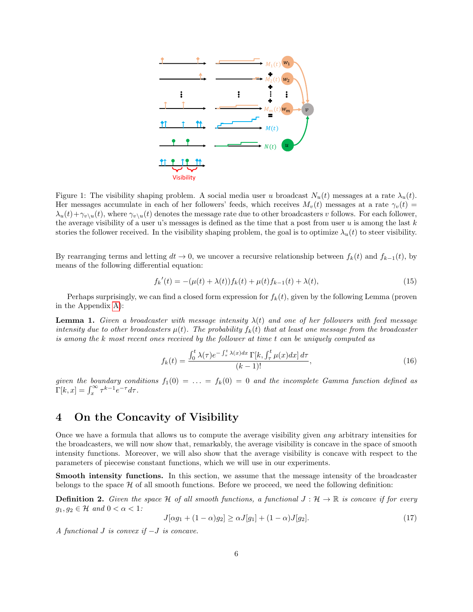

Figure 1: The visibility shaping problem. A social media user u broadcast  $N_u(t)$  messages at a rate  $\lambda_u(t)$ . Her messages accumulate in each of her followers' feeds, which receives  $M_v(t)$  messages at a rate  $\gamma_v(t)$  =  $\lambda_u(t)+\gamma_{v\setminus u}(t)$ , where  $\gamma_{v\setminus u}(t)$  denotes the message rate due to other broadcasters v follows. For each follower, the average visibility of a user u's messages is defined as the time that a post from user u is among the last  $k$ stories the follower received. In the visibility shaping problem, the goal is to optimize  $\lambda_u(t)$  to steer visibility.

By rearranging terms and letting  $dt \to 0$ , we uncover a recursive relationship between  $f_k(t)$  and  $f_{k-1}(t)$ , by means of the following differential equation:

<span id="page-5-3"></span>
$$
f_k'(t) = -(\mu(t) + \lambda(t))f_k(t) + \mu(t)f_{k-1}(t) + \lambda(t),
$$
\n(15)

Perhaps surprisingly, we can find a closed form expression for  $f_k(t)$ , given by the following Lemma (proven in the Appendix [A\)](#page-0-5):

<span id="page-5-1"></span>**Lemma 1.** Given a broadcaster with message intensity  $\lambda(t)$  and one of her followers with feed message intensity due to other broadcasters  $\mu(t)$ . The probability  $f_k(t)$  that at least one message from the broadcaster is among the k most recent ones received by the follower at time t can be uniquely computed as

<span id="page-5-0"></span>
$$
f_k(t) = \frac{\int_0^t \lambda(\tau) e^{-\int_\tau^t \lambda(x)dx} \Gamma[k, \int_\tau^t \mu(x)dx] d\tau}{(k-1)!},
$$
\n(16)

given the boundary conditions  $f_1(0) = \ldots = f_k(0) = 0$  and the incomplete Gamma function defined as  $\Gamma[k, x] = \int_x^\infty \tau^{k-1} e^{-\tau} d\tau.$ 

### <span id="page-5-2"></span>4 On the Concavity of Visibility

Once we have a formula that allows us to compute the average visibility given any arbitrary intensities for the broadcasters, we will now show that, remarkably, the average visibility is concave in the space of smooth intensity functions. Moreover, we will also show that the average visibility is concave with respect to the parameters of piecewise constant functions, which we will use in our experiments.

Smooth intensity functions. In this section, we assume that the message intensity of the broadcaster belongs to the space  $H$  of all smooth functions. Before we proceed, we need the following definition:

**Definition 2.** Given the space H of all smooth functions, a functional  $J: \mathcal{H} \to \mathbb{R}$  is concave if for every  $g_1, g_2 \in \mathcal{H}$  and  $0 < \alpha < 1$ :

<span id="page-5-4"></span>
$$
J[\alpha g_1 + (1 - \alpha)g_2] \ge \alpha J[g_1] + (1 - \alpha)J[g_2].
$$
\n(17)

A functional  $J$  is convex if  $-J$  is concave.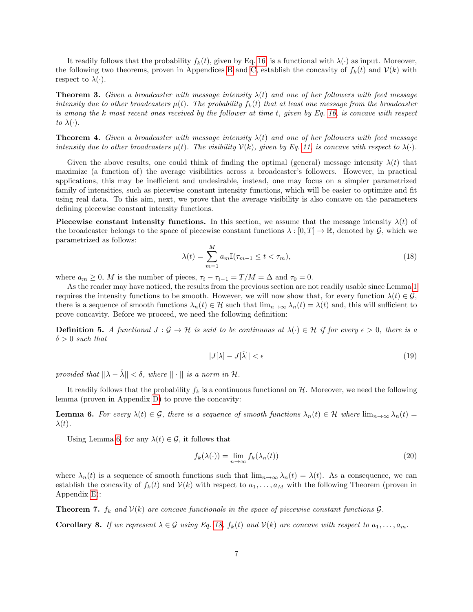It readily follows that the probability  $f_k(t)$ , given by Eq. [16,](#page-5-0) is a functional with  $\lambda(\cdot)$  as input. Moreover, the following two theorems, proven in Appendices [B](#page-2-0) and [C,](#page-2-1) establish the concavity of  $f_k(t)$  and  $V(k)$  with respect to  $\lambda(\cdot)$ .

<span id="page-6-2"></span>**Theorem 3.** Given a broadcaster with message intensity  $\lambda(t)$  and one of her followers with feed message intensity due to other broadcasters  $\mu(t)$ . The probability  $f_k(t)$  that at least one message from the broadcaster is among the  $k$  most recent ones received by the follower at time  $t$ , given by Eq. [16,](#page-5-0) is concave with respect to  $\lambda(\cdot)$ .

**Theorem 4.** Given a broadcaster with message intensity  $\lambda(t)$  and one of her followers with feed message intensity due to other broadcasters  $\mu(t)$ . The visibility  $\mathcal{V}(k)$ , given by Eq. [11,](#page-4-0) is concave with respect to  $\lambda(\cdot)$ .

Given the above results, one could think of finding the optimal (general) message intensity  $\lambda(t)$  that maximize (a function of) the average visibilities across a broadcaster's followers. However, in practical applications, this may be inefficient and undesirable, instead, one may focus on a simpler parametrized family of intensities, such as piecewise constant intensity functions, which will be easier to optimize and fit using real data. To this aim, next, we prove that the average visibility is also concave on the parameters defining piecewise constant intensity functions.

Piecewise constant intensity functions. In this section, we assume that the message intensity  $\lambda(t)$  of the broadcaster belongs to the space of piecewise constant functions  $\lambda : [0, T] \to \mathbb{R}$ , denoted by  $\mathcal{G}$ , which we parametrized as follows:

<span id="page-6-1"></span>
$$
\lambda(t) = \sum_{m=1}^{M} a_m \mathbb{I}(\tau_{m-1} \le t < \tau_m),\tag{18}
$$

where  $a_m \geq 0$ , M is the number of pieces,  $\tau_i - \tau_{i-1} = T/M = \Delta$  and  $\tau_0 = 0$ .

As the reader may have noticed, the results from the previous section are not readily usable since Lemma [1](#page-5-1) requires the intensity functions to be smooth. However, we will now show that, for every function  $\lambda(t) \in \mathcal{G}$ , there is a sequence of smooth functions  $\lambda_n(t) \in \mathcal{H}$  such that  $\lim_{n\to\infty} \lambda_n(t) = \lambda(t)$  and, this will sufficient to prove concavity. Before we proceed, we need the following definition:

**Definition 5.** A functional  $J: \mathcal{G} \to \mathcal{H}$  is said to be continuous at  $\lambda(\cdot) \in \mathcal{H}$  if for every  $\epsilon > 0$ , there is a  $\delta > 0$  such that

$$
|J[\lambda] - J[\hat{\lambda}]| < \epsilon \tag{19}
$$

provided that  $||\lambda - \hat{\lambda}|| < \delta$ , where  $|| \cdot ||$  is a norm in H.

It readily follows that the probability  $f_k$  is a continuous functional on  $H$ . Moreover, we need the following lemma (proven in Appendix [D\)](#page-5-2) to prove the concavity:

<span id="page-6-0"></span>**Lemma 6.** For every  $\lambda(t) \in \mathcal{G}$ , there is a sequence of smooth functions  $\lambda_n(t) \in \mathcal{H}$  where  $\lim_{n\to\infty} \lambda_n(t) =$  $\lambda(t)$ .

Using Lemma [6,](#page-6-0) for any  $\lambda(t) \in \mathcal{G}$ , it follows that

$$
f_k(\lambda(\cdot)) = \lim_{n \to \infty} f_k(\lambda_n(t))
$$
\n(20)

where  $\lambda_n(t)$  is a sequence of smooth functions such that  $\lim_{n\to\infty}\lambda_n(t) = \lambda(t)$ . As a consequence, we can establish the concavity of  $f_k(t)$  and  $V(k)$  with respect to  $a_1, \ldots, a_M$  with the following Theorem (proven in Appendix [E\)](#page-7-0):

**Theorem 7.**  $f_k$  and  $V(k)$  are concave functionals in the space of piecewise constant functions  $\mathcal{G}$ .

**Corollary 8.** If we represent  $\lambda \in \mathcal{G}$  using Eq. [18,](#page-6-1)  $f_k(t)$  and  $\mathcal{V}(k)$  are concave with respect to  $a_1, \ldots, a_m$ .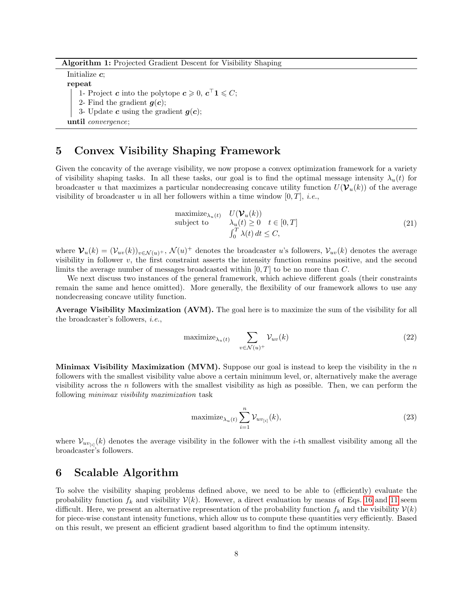Algorithm 1: Projected Gradient Descent for Visibility Shaping

<span id="page-7-1"></span>Initialize c;

repeat 1- Project  $c$  into the polytope  $c \geq 0, c^{\top} 1 \leq C$ ;

2- Find the gradient  $g(c)$ ;

3- Update c using the gradient  $q(c)$ ;

```
until convergence;
```
#### <span id="page-7-0"></span>5 Convex Visibility Shaping Framework

Given the concavity of the average visibility, we now propose a convex optimization framework for a variety of visibility shaping tasks. In all these tasks, our goal is to find the optimal message intensity  $\lambda_u(t)$  for broadcaster u that maximizes a particular nondecreasing concave utility function  $U(\mathcal{V}_u(k))$  of the average visibility of broadcaster u in all her followers within a time window  $[0, T]$ , *i.e.*,

maximize<sub>\lambda<sub>u</sub>(t)</sub> 
$$
U(\mathbf{\mathcal{V}}_u(k))
$$
  
subject to  $\lambda_u(t) \ge 0$   $t \in [0, T]$   
 $\int_0^T \lambda(t) dt \le C,$  (21)

where  $\mathcal{V}_u(k) = (\mathcal{V}_{uv}(k))_{v \in \mathcal{N}(u)^+}$ ,  $\mathcal{N}(u)^+$  denotes the broadcaster u's followers,  $\mathcal{V}_{uv}(k)$  denotes the average visibility in follower  $v$ , the first constraint asserts the intensity function remains positive, and the second limits the average number of messages broadcasted within  $[0, T]$  to be no more than C.

We next discuss two instances of the general framework, which achieve different goals (their constraints remain the same and hence omitted). More generally, the flexibility of our framework allows to use any nondecreasing concave utility function.

Average Visibility Maximization (AVM). The goal here is to maximize the sum of the visibility for all the broadcaster's followers, i.e.,

$$
\text{maximize}_{\lambda_u(t)} \quad \sum_{v \in \mathcal{N}(u)^+} \mathcal{V}_{uv}(k) \tag{22}
$$

**Minimax Visibility Maximization (MVM).** Suppose our goal is instead to keep the visibility in the n followers with the smallest visibility value above a certain minimum level, or, alternatively make the average visibility across the n followers with the smallest visibility as high as possible. Then, we can perform the following minimax visibility maximization task

$$
\text{maximize}_{\lambda_u(t)} \sum_{i=1}^n \mathcal{V}_{uv_{[i]}}(k),\tag{23}
$$

where  $\mathcal{V}_{uv_{[i]}}(k)$  denotes the average visibility in the follower with the *i*-th smallest visibility among all the broadcaster's followers.

### 6 Scalable Algorithm

To solve the visibility shaping problems defined above, we need to be able to (efficiently) evaluate the probability function  $f_k$  and visibility  $\mathcal{V}(k)$ . However, a direct evaluation by means of Eqs. [16](#page-5-0) and [11](#page-4-0) seem difficult. Here, we present an alternative representation of the probability function  $f_k$  and the visibility  $\mathcal{V}(k)$ for piece-wise constant intensity functions, which allow us to compute these quantities very efficiently. Based on this result, we present an efficient gradient based algorithm to find the optimum intensity.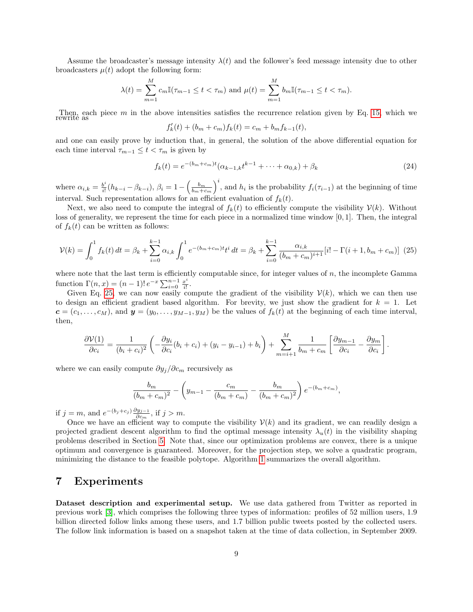Assume the broadcaster's message intensity  $\lambda(t)$  and the follower's feed message intensity due to other broadcasters  $\mu(t)$  adopt the following form:

$$
\lambda(t) = \sum_{m=1}^{M} c_m \mathbb{I}(\tau_{m-1} \le t < \tau_m) \text{ and } \mu(t) = \sum_{m=1}^{M} b_m \mathbb{I}(\tau_{m-1} \le t < \tau_m).
$$

Then, each piece  $m$  in the above intensities satisfies the recurrence relation given by Eq. [15,](#page-5-3) which we rewrite as  $\prime$ 

$$
f'_{k}(t) + (b_{m} + c_{m})f_{k}(t) = c_{m} + b_{m}f_{k-1}(t),
$$

and one can easily prove by induction that, in general, the solution of the above differential equation for each time interval  $\tau_{m-1} \leq t < \tau_m$  is given by

$$
f_k(t) = e^{-(b_m + c_m)t} (\alpha_{k-1,k} t^{k-1} + \dots + \alpha_{0,k}) + \beta_k
$$
\n(24)

.

where  $\alpha_{i,k} = \frac{b^i}{i!}$  $\frac{b^i}{i!}(h_{k-i}-\beta_{k-i}), \beta_i=1-\left(\frac{b_m}{b_m+c_m}\right)^i$ , and  $h_i$  is the probability  $f_i(\tau_{i-1})$  at the beginning of time interval. Such representation allows for an efficient evaluation of  $f_k(t)$ .

Next, we also need to compute the integral of  $f_k(t)$  to efficiently compute the visibility  $\mathcal{V}(k)$ . Without loss of generality, we represent the time for each piece in a normalized time window [0, 1]. Then, the integral of  $f_k(t)$  can be written as follows:

<span id="page-8-0"></span>
$$
\mathcal{V}(k) = \int_0^1 f_k(t) dt = \beta_k + \sum_{i=0}^{k-1} \alpha_{i,k} \int_0^1 e^{-(b_m + c_m)t} t^i dt = \beta_k + \sum_{i=0}^{k-1} \frac{\alpha_{i,k}}{(b_m + c_m)^{i+1}} [i! - \Gamma(i+1, b_m + c_m)] \tag{25}
$$

where note that the last term is efficiently computable since, for integer values of  $n$ , the incomplete Gamma function  $\Gamma(n, x) = (n - 1)! e^{-x} \sum_{i=0}^{n-1} \frac{x^i}{i!}$  $\frac{x^i}{i!}$ .

Given Eq. [25,](#page-8-0) we can now easily compute the gradient of the visibility  $\mathcal{V}(k)$ , which we can then use to design an efficient gradient based algorithm. For brevity, we just show the gradient for  $k = 1$ . Let  $c = (c_1, \ldots, c_M)$ , and  $y = (y_0, \ldots, y_{M-1}, y_M)$  be the values of  $f_k(t)$  at the beginning of each time interval, then,

$$
\frac{\partial V(1)}{\partial c_i} = \frac{1}{(b_i + c_i)^2} \left( -\frac{\partial y_i}{\partial c_i} (b_i + c_i) + (y_i - y_{i-1}) + b_i \right) + \sum_{m=i+1}^{M} \frac{1}{b_m + c_m} \left[ \frac{\partial y_{m-1}}{\partial c_i} - \frac{\partial y_m}{\partial c_i} \right]
$$

where we can easily compute  $\partial y_j/\partial c_m$  recursively as

$$
\frac{b_m}{(b_m+c_m)^2} - \left(y_{m-1} - \frac{c_m}{(b_m+c_m)} - \frac{b_m}{(b_m+c_m)^2}\right) e^{-(b_m+c_m)},
$$

if  $j = m$ , and  $e^{-(b_j+c_j)}\frac{\partial y_{j-1}}{\partial c_m}$ , if  $j > m$ .

Once we have an efficient way to compute the visibility  $\mathcal{V}(k)$  and its gradient, we can readily design a projected gradient descent algorithm to find the optimal message intensity  $\lambda_u(t)$  in the visibility shaping problems described in Section [5.](#page-7-0) Note that, since our optimization problems are convex, there is a unique optimum and convergence is guaranteed. Moreover, for the projection step, we solve a quadratic program, minimizing the distance to the feasible polytope. Algorithm [1](#page-7-1) summarizes the overall algorithm.

#### 7 Experiments

Dataset description and experimental setup. We use data gathered from Twitter as reported in previous work [\[3\]](#page-12-5), which comprises the following three types of information: profiles of 52 million users, 1.9 billion directed follow links among these users, and 1.7 billion public tweets posted by the collected users. The follow link information is based on a snapshot taken at the time of data collection, in September 2009.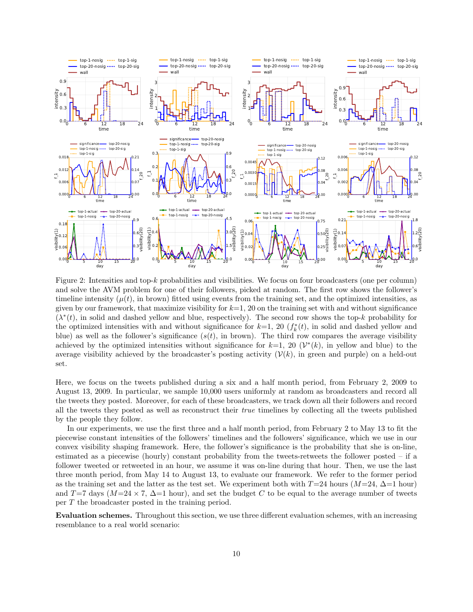

<span id="page-9-0"></span>Figure 2: Intensities and top-k probabilities and visibilities. We focus on four broadcasters (one per column) and solve the AVM problem for one of their followers, picked at random. The first row shows the follower's timeline intensity  $(\mu(t),$  in brown) fitted using events from the training set, and the optimized intensities, as given by our framework, that maximize visibility for  $k=1$ , 20 on the training set with and without significance  $(\lambda^*(t))$ , in solid and dashed yellow and blue, respectively). The second row shows the top-k probability for the optimized intensities with and without significance for  $k=1$ , 20  $(f_k^*(t))$ , in solid and dashed yellow and blue) as well as the follower's significance  $(s(t),$  in brown). The third row compares the average visibility achieved by the optimized intensities without significance for  $k=1$ , 20 ( $V^*(k)$ , in yellow and blue) to the average visibility achieved by the broadcaster's posting activity  $(V(k))$ , in green and purple) on a held-out set.

Here, we focus on the tweets published during a six and a half month period, from February 2, 2009 to August 13, 2009. In particular, we sample 10,000 users uniformly at random as broadcasters and record all the tweets they posted. Moreover, for each of these broadcasters, we track down all their followers and record all the tweets they posted as well as reconstruct their true timelines by collecting all the tweets published by the people they follow.

In our experiments, we use the first three and a half month period, from February 2 to May 13 to fit the piecewise constant intensities of the followers' timelines and the followers' significance, which we use in our convex visibility shaping framework. Here, the follower's significance is the probability that she is on-line, estimated as a piecewise (hourly) constant probability from the tweets-retweets the follower posted – if a follower tweeted or retweeted in an hour, we assume it was on-line during that hour. Then, we use the last three month period, from May 14 to August 13, to evaluate our framework. We refer to the former period as the training set and the latter as the test set. We experiment both with  $T=24$  hours  $(M=24, \Delta=1$  hour) and T=7 days ( $M=24 \times 7$ ,  $\Delta=1$  hour), and set the budget C to be equal to the average number of tweets per T the broadcaster posted in the training period.

Evaluation schemes. Throughout this section, we use three different evaluation schemes, with an increasing resemblance to a real world scenario: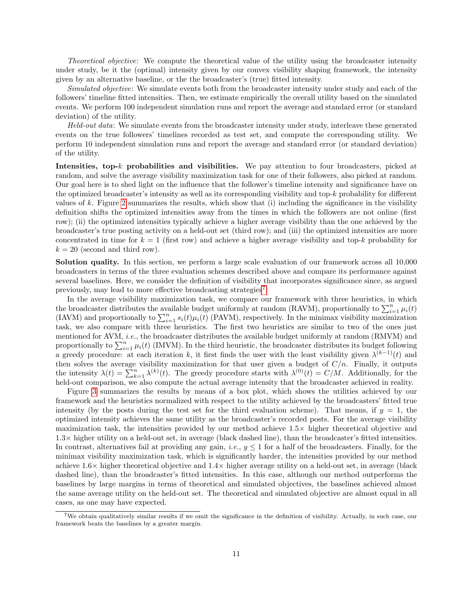Theoretical objective: We compute the theoretical value of the utility using the broadcaster intensity under study, be it the (optimal) intensity given by our convex visibility shaping framework, the intensity given by an alternative baseline, or the the broadcaster's (true) fitted intensity.

Simulated objective: We simulate events both from the broadcaster intensity under study and each of the followers' timeline fitted intensities. Then, we estimate empirically the overall utility based on the simulated events. We perform 100 independent simulation runs and report the average and standard error (or standard deviation) of the utility.

Held-out data: We simulate events from the broadcaster intensity under study, interleave these generated events on the true followers' timelines recorded as test set, and compute the corresponding utility. We perform 10 independent simulation runs and report the average and standard error (or standard deviation) of the utility.

Intensities, top-k probabilities and visibilities. We pay attention to four broadcasters, picked at random, and solve the average visibility maximization task for one of their followers, also picked at random. Our goal here is to shed light on the influence that the follower's timeline intensity and significance have on the optimized broadcaster's intensity as well as its corresponding visibility and top- $k$  probability for different values of  $k$ . Figure [2](#page-9-0) summarizes the results, which show that (i) including the significance in the visibility definition shifts the optimized intensities away from the times in which the followers are not online (first row); (ii) the optimized intensities typically achieve a higher average visibility than the one achieved by the broadcaster's true posting activity on a held-out set (third row); and (iii) the optimized intensities are more concentrated in time for  $k = 1$  (first row) and achieve a higher average visibility and top-k probability for  $k = 20$  (second and third row).

Solution quality. In this section, we perform a large scale evaluation of our framework across all 10,000 broadcasters in terms of the three evaluation schemes described above and compare its performance against several baselines. Here, we consider the definition of visibility that incorporates significance since, as argued previously, may lead to more effective broadcasting strategies<sup>[7](#page-10-0)</sup>.

In the average visibility maximization task, we compare our framework with three heuristics, in which the broadcaster distributes the available budget uniformly at random (RAVM), proportionally to  $\sum_{i=1}^{n} \mu_i(t)$ (IAVM) and proportionally to  $\sum_{i=1}^{n} s_i(t)\mu_i(t)$  (PAVM), respectively. In the minimax visibility maximization task, we also compare with three heuristics. The first two heuristics are similar to two of the ones just mentioned for AVM, *i.e.*, the broadcaster distributes the available budget uniformly at random (RMVM) and proportionally to  $\sum_{i=1}^{n} \mu_i(t)$  (IMVM). In the third heuristic, the broadcaster distributes its budget following a greedy procedure: at each iteration k, it first finds the user with the least visibility given  $\lambda^{(k-1)}(t)$  and then solves the average visibility maximization for that user given a budget of  $C/n$ . Finally, it outputs the intensity  $\lambda(t) = \sum_{k=1}^{n} \lambda^{(k)}(t)$ . The greedy procedure starts with  $\lambda^{(0)}(t) = C/M$ . Additionally, for the held-out comparison, we also compute the actual average intensity that the broadcaster achieved in reality.

Figure [3](#page-11-0) summarizes the results by means of a box plot, which shows the utilities achieved by our framework and the heuristics normalized with respect to the utility achieved by the broadcasters' fitted true intensity (by the posts during the test set for the third evaluation scheme). That means, if  $y = 1$ , the optimized intensity achieves the same utility as the broadcaster's recorded posts. For the average visibility maximization task, the intensities provided by our method achieve 1.5× higher theoretical objective and 1.3× higher utility on a held-out set, in average (black dashed line), than the broadcaster's fitted intensities. In contrast, alternatives fail at providing any gain, *i.e.*,  $y \leq 1$  for a half of the broadcasters. Finally, for the minimax visibility maximization task, which is significantly harder, the intensities provided by our method achieve  $1.6\times$  higher theoretical objective and  $1.4\times$  higher average utility on a held-out set, in average (black dashed line), than the broadcaster's fitted intensities. In this case, although our method outperforms the baselines by large margins in terms of theoretical and simulated objectives, the baselines achieved almost the same average utility on the held-out set. The theoretical and simulated objective are almost equal in all cases, as one may have expected.

<span id="page-10-0"></span><sup>7</sup>We obtain qualitatively similar results if we omit the significance in the definition of visibility. Actually, in such case, our framework beats the baselines by a greater margin.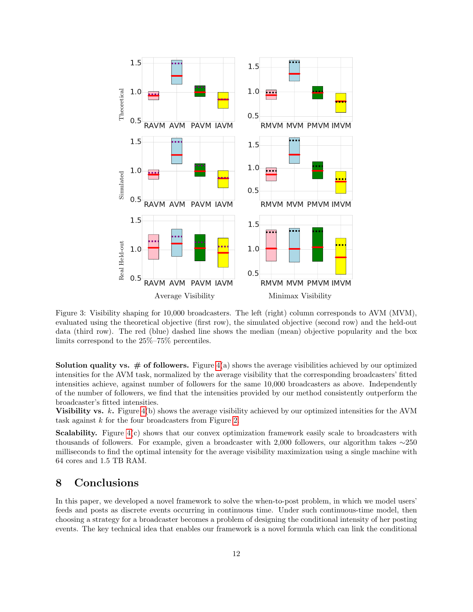

<span id="page-11-0"></span>Figure 3: Visibility shaping for 10,000 broadcasters. The left (right) column corresponds to AVM (MVM), evaluated using the theoretical objective (first row), the simulated objective (second row) and the held-out data (third row). The red (blue) dashed line shows the median (mean) objective popularity and the box limits correspond to the 25%–75% percentiles.

**Solution quality vs.**  $\#$  **of followers.** Figure [4\(](#page-12-6)a) shows the average visibilities achieved by our optimized intensities for the AVM task, normalized by the average visibility that the corresponding broadcasters' fitted intensities achieve, against number of followers for the same 10,000 broadcasters as above. Independently of the number of followers, we find that the intensities provided by our method consistently outperform the broadcaster's fitted intensities.

Visibility vs.  $k$ . Figure [4\(](#page-12-6)b) shows the average visibility achieved by our optimized intensities for the AVM task against  $k$  for the four broadcasters from Figure [2.](#page-9-0)

Scalability. Figure  $4(c)$  shows that our convex optimization framework easily scale to broadcasters with thousands of followers. For example, given a broadcaster with 2,000 followers, our algorithm takes ∼250 milliseconds to find the optimal intensity for the average visibility maximization using a single machine with 64 cores and 1.5 TB RAM.

# 8 Conclusions

In this paper, we developed a novel framework to solve the when-to-post problem, in which we model users' feeds and posts as discrete events occurring in continuous time. Under such continuous-time model, then choosing a strategy for a broadcaster becomes a problem of designing the conditional intensity of her posting events. The key technical idea that enables our framework is a novel formula which can link the conditional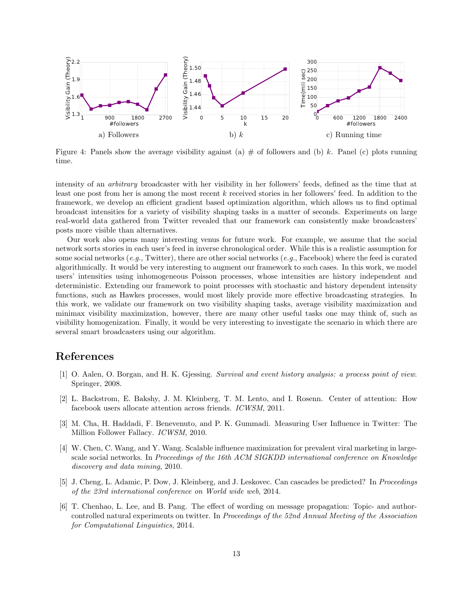

<span id="page-12-6"></span>Figure 4: Panels show the average visibility against (a)  $\#$  of followers and (b) k. Panel (c) plots running time.

intensity of an arbitrary broadcaster with her visibility in her followers' feeds, defined as the time that at least one post from her is among the most recent k received stories in her followers' feed. In addition to the framework, we develop an efficient gradient based optimization algorithm, which allows us to find optimal broadcast intensities for a variety of visibility shaping tasks in a matter of seconds. Experiments on large real-world data gathered from Twitter revealed that our framework can consistently make broadcasters' posts more visible than alternatives.

Our work also opens many interesting venus for future work. For example, we assume that the social network sorts stories in each user's feed in inverse chronological order. While this is a realistic assumption for some social networks (e.g., Twitter), there are other social networks (e.g., Facebook) where the feed is curated algorithmically. It would be very interesting to augment our framework to such cases. In this work, we model users' intensities using inhomogeneous Poisson processes, whose intensities are history independent and deterministic. Extending our framework to point processes with stochastic and history dependent intensity functions, such as Hawkes processes, would most likely provide more effective broadcasting strategies. In this work, we validate our framework on two visibility shaping tasks, average visibility maximization and minimax visibility maximization, however, there are many other useful tasks one may think of, such as visibility homogenization. Finally, it would be very interesting to investigate the scenario in which there are several smart broadcasters using our algorithm.

# References

- <span id="page-12-2"></span>[1] O. Aalen, O. Borgan, and H. K. Gjessing. Survival and event history analysis: a process point of view. Springer, 2008.
- <span id="page-12-3"></span>[2] L. Backstrom, E. Bakshy, J. M. Kleinberg, T. M. Lento, and I. Rosenn. Center of attention: How facebook users allocate attention across friends. ICWSM, 2011.
- <span id="page-12-5"></span>[3] M. Cha, H. Haddadi, F. Benevenuto, and P. K. Gummadi. Measuring User Influence in Twitter: The Million Follower Fallacy. ICWSM, 2010.
- <span id="page-12-4"></span>[4] W. Chen, C. Wang, and Y. Wang. Scalable influence maximization for prevalent viral marketing in largescale social networks. In Proceedings of the 16th ACM SIGKDD international conference on Knowledge discovery and data mining, 2010.
- <span id="page-12-1"></span>[5] J. Cheng, L. Adamic, P. Dow, J. Kleinberg, and J. Leskovec. Can cascades be predicted? In Proceedings of the 23rd international conference on World wide web, 2014.
- <span id="page-12-0"></span>[6] T. Chenhao, L. Lee, and B. Pang. The effect of wording on message propagation: Topic- and authorcontrolled natural experiments on twitter. In Proceedings of the 52nd Annual Meeting of the Association for Computational Linguistics, 2014.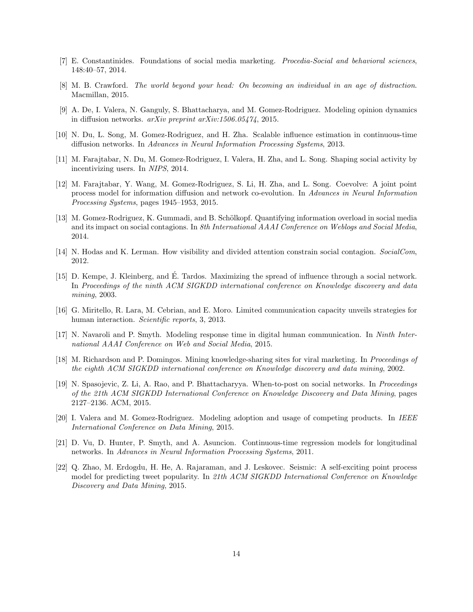- <span id="page-13-0"></span>[7] E. Constantinides. Foundations of social media marketing. Procedia-Social and behavioral sciences, 148:40–57, 2014.
- <span id="page-13-2"></span>[8] M. B. Crawford. The world beyond your head: On becoming an individual in an age of distraction. Macmillan, 2015.
- <span id="page-13-11"></span>[9] A. De, I. Valera, N. Ganguly, S. Bhattacharya, and M. Gomez-Rodriguez. Modeling opinion dynamics in diffusion networks. arXiv preprint arXiv:1506.05474, 2015.
- <span id="page-13-8"></span>[10] N. Du, L. Song, M. Gomez-Rodriguez, and H. Zha. Scalable influence estimation in continuous-time diffusion networks. In Advances in Neural Information Processing Systems, 2013.
- <span id="page-13-9"></span>[11] M. Farajtabar, N. Du, M. Gomez-Rodriguez, I. Valera, H. Zha, and L. Song. Shaping social activity by incentivizing users. In NIPS, 2014.
- <span id="page-13-10"></span>[12] M. Farajtabar, Y. Wang, M. Gomez-Rodriguez, S. Li, H. Zha, and L. Song. Coevolve: A joint point process model for information diffusion and network co-evolution. In Advances in Neural Information Processing Systems, pages 1945–1953, 2015.
- <span id="page-13-1"></span>[13] M. Gomez-Rodriguez, K. Gummadi, and B. Schölkopf. Quantifying information overload in social media and its impact on social contagions. In 8th International AAAI Conference on Weblogs and Social Media, 2014.
- <span id="page-13-4"></span>[14] N. Hodas and K. Lerman. How visibility and divided attention constrain social contagion. SocialCom, 2012.
- <span id="page-13-7"></span>[15] D. Kempe, J. Kleinberg, and E. Tardos. Maximizing the spread of influence through a social network. ´ In Proceedings of the ninth ACM SIGKDD international conference on Knowledge discovery and data mining, 2003.
- <span id="page-13-5"></span>[16] G. Miritello, R. Lara, M. Cebrian, and E. Moro. Limited communication capacity unveils strategies for human interaction. *Scientific reports*, 3, 2013.
- <span id="page-13-15"></span>[17] N. Navaroli and P. Smyth. Modeling response time in digital human communication. In Ninth International AAAI Conference on Web and Social Media, 2015.
- <span id="page-13-6"></span>[18] M. Richardson and P. Domingos. Mining knowledge-sharing sites for viral marketing. In Proceedings of the eighth ACM SIGKDD international conference on Knowledge discovery and data mining, 2002.
- <span id="page-13-3"></span>[19] N. Spasojevic, Z. Li, A. Rao, and P. Bhattacharyya. When-to-post on social networks. In Proceedings of the 21th ACM SIGKDD International Conference on Knowledge Discovery and Data Mining, pages 2127–2136. ACM, 2015.
- <span id="page-13-12"></span>[20] I. Valera and M. Gomez-Rodriguez. Modeling adoption and usage of competing products. In IEEE International Conference on Data Mining, 2015.
- <span id="page-13-14"></span>[21] D. Vu, D. Hunter, P. Smyth, and A. Asuncion. Continuous-time regression models for longitudinal networks. In Advances in Neural Information Processing Systems, 2011.
- <span id="page-13-13"></span>[22] Q. Zhao, M. Erdogdu, H. He, A. Rajaraman, and J. Leskovec. Seismic: A self-exciting point process model for predicting tweet popularity. In 21th ACM SIGKDD International Conference on Knowledge Discovery and Data Mining, 2015.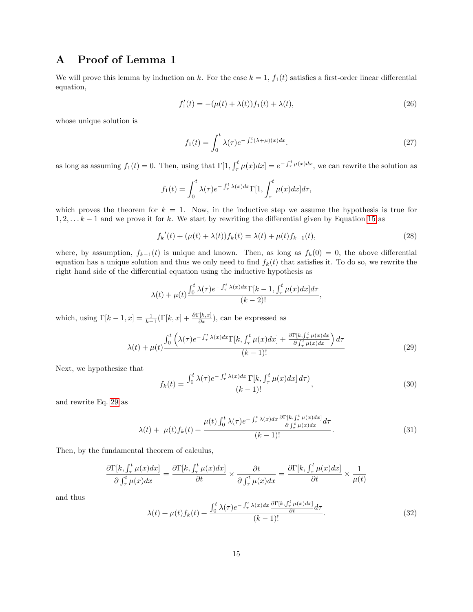# A Proof of Lemma 1

We will prove this lemma by induction on k. For the case  $k = 1$ ,  $f_1(t)$  satisfies a first-order linear differential equation,

$$
f_1'(t) = -(\mu(t) + \lambda(t))f_1(t) + \lambda(t),
$$
\n(26)

whose unique solution is

<span id="page-14-3"></span>
$$
f_1(t) = \int_0^t \lambda(\tau) e^{-\int_\tau^t (\lambda + \mu)(x) dx}.
$$
 (27)

as long as assuming  $f_1(t) = 0$ . Then, using that  $\Gamma[1, \int_{\tau}^{t} \mu(x) dx] = e^{-\int_{\tau}^{t} \mu(x) dx}$ , we can rewrite the solution as

$$
f_1(t) = \int_0^t \lambda(\tau) e^{-\int_{\tau}^t \lambda(x)dx} \Gamma[1, \int_{\tau}^t \mu(x)dx] d\tau,
$$

which proves the theorem for  $k = 1$ . Now, in the inductive step we assume the hypothesis is true for  $1, 2, \ldots k-1$  and we prove it for k. We start by rewriting the differential given by Equation [15](#page-5-3) as

$$
f_k'(t) + (\mu(t) + \lambda(t))f_k(t) = \lambda(t) + \mu(t)f_{k-1}(t),
$$
\n(28)

where, by assumption,  $f_{k-1}(t)$  is unique and known. Then, as long as  $f_k(0) = 0$ , the above differential equation has a unique solution and thus we only need to find  $f_k(t)$  that satisfies it. To do so, we rewrite the right hand side of the differential equation using the inductive hypothesis as

<span id="page-14-0"></span>
$$
\lambda(t) + \mu(t) \frac{\int_0^t \lambda(\tau) e^{-\int_{\tau}^t \lambda(x) dx} \Gamma[k-1, \int_{\tau}^t \mu(x) dx] d\tau}{(k-2)!},
$$

which, using  $\Gamma[k-1,x] = \frac{1}{k-1}(\Gamma[k,x] + \frac{\partial \Gamma[k,x]}{\partial x})$ , can be expressed as

$$
\lambda(t) + \mu(t) \frac{\int_0^t \left( \lambda(\tau) e^{-\int_{\tau}^t \lambda(x) dx} \Gamma[k, \int_{\tau}^t \mu(x) dx] + \frac{\partial \Gamma[k, \int_{\tau}^t \mu(x) dx]}{\partial \int_{\tau}^t \mu(x) dx} \right) d\tau}{(k-1)!}
$$
(29)

Next, we hypothesize that

<span id="page-14-2"></span>
$$
f_k(t) = \frac{\int_0^t \lambda(\tau) e^{-\int_\tau^t \lambda(x)dx} \Gamma[k, \int_\tau^t \mu(x)dx] d\tau}{(k-1)!},
$$
\n(30)

and rewrite Eq. [29](#page-14-0) as

$$
\lambda(t) + \mu(t)f_k(t) + \frac{\mu(t)\int_0^t \lambda(\tau)e^{-\int_\tau^t \lambda(x)dx} \frac{\partial \Gamma[k,\int_\tau^t \mu(x)dx]}{\partial \int_\tau^t \mu(x)dx}d\tau}{(k-1)!}.
$$
\n(31)

Then, by the fundamental theorem of calculus,

<span id="page-14-1"></span>
$$
\frac{\partial \Gamma[k, \int_{\tau}^{t} \mu(x)dx]}{\partial \int_{\tau}^{t} \mu(x)dx} = \frac{\partial \Gamma[k, \int_{\tau}^{t} \mu(x)dx]}{\partial t} \times \frac{\partial t}{\partial \int_{\tau}^{t} \mu(x)dx} = \frac{\partial \Gamma[k, \int_{\tau}^{t} \mu(x)dx]}{\partial t} \times \frac{1}{\mu(t)}
$$

and thus

$$
\lambda(t) + \mu(t)f_k(t) + \frac{\int_0^t \lambda(\tau)e^{-\int_{\tau}^t \lambda(x)dx} \frac{\partial \Gamma[k, \int_{\tau}^t \mu(x)dx]}{\partial t} d\tau}{(k-1)!}.
$$
\n(32)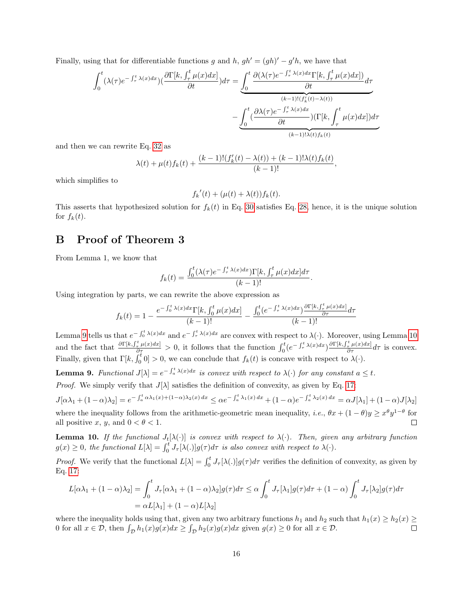Finally, using that for differentiable functions g and h,  $gh' = (gh)' - g'h$ , we have that

$$
\int_{0}^{t} (\lambda(\tau)e^{-\int_{\tau}^{t} \lambda(x)dx})(\frac{\partial \Gamma[k,\int_{\tau}^{t} \mu(x)dx]}{\partial t})d\tau = \underbrace{\int_{0}^{t} \frac{\partial (\lambda(\tau)e^{-\int_{\tau}^{t} \lambda(x)dx}\Gamma[k,\int_{\tau}^{t} \mu(x)dx]}{\partial t})}_{(k-1)!(f'_{k}(t)-\lambda(t))}d\tau}_{(\underline{k-1}+1)!(f'_{k}(t)-\lambda(t))} = \underbrace{\int_{0}^{t} (\frac{\partial \lambda(\tau)e^{-\int_{\tau}^{t} \lambda(x)dx}}{\partial t})(\Gamma[k,\int_{\tau}^{t} \mu(x)dx])d\tau}_{(k-1)!\lambda(t)f_{k}(t)}
$$

and then we can rewrite Eq. [32](#page-14-1) as

$$
\lambda(t) + \mu(t) f_k(t) + \frac{(k-1)! (f'_k(t) - \lambda(t)) + (k-1)! \lambda(t) f_k(t)}{(k-1)!},
$$

which simplifies to

$$
f_k'(t) + (\mu(t) + \lambda(t))f_k(t).
$$

This asserts that hypothesized solution for  $f_k(t)$  in Eq. [30](#page-14-2) satisfies Eq. [28,](#page-14-3) hence, it is the unique solution for  $f_k(t)$ .

# B Proof of Theorem 3

From Lemma 1, we know that

$$
f_k(t) = \frac{\int_0^t (\lambda(\tau)e^{-\int_{\tau}^t \lambda(x)dx}) \Gamma[k, \int_{\tau}^t \mu(x)dx]d\tau}{(k-1)!}.
$$

Using integration by parts, we can rewrite the above expression as

$$
f_k(t) = 1 - \frac{e^{-\int_0^t \lambda(x)dx} \Gamma[k, \int_0^t \mu(x)dx]}{(k-1)!} - \frac{\int_0^t (e^{-\int_\tau^t \lambda(x)dx}) \frac{\partial \Gamma[k, \int_\tau^t \mu(x)dx]}{\partial \tau}}{(k-1)!} d\tau
$$

Lemma [9](#page-15-0) tells us that  $e^{-\int_0^t \lambda(x)dx}$  and  $e^{-\int_\tau^t \lambda(x)dx}$  are convex with respect to  $\lambda(\cdot)$ . Moreover, using Lemma [10](#page-15-1) and the fact that  $\frac{\partial \Gamma[k,\int_{\tau}^{t} \mu(x)dx]}{\partial \tau} > 0$ , it follows that the function  $\int_{0}^{t} (e^{-\int_{\tau}^{t} \lambda(x)dx}) \frac{\partial \Gamma[k,\int_{\tau}^{t} \mu(x)dx]}{\partial \tau} d\tau$  is convex. Finally, given that  $\Gamma[k, \tilde{f}_0^t] > 0$ , we can conclude that  $f_k(t)$  is concave with respect to  $\lambda(\cdot)$ .

<span id="page-15-0"></span>**Lemma 9.** Functional  $J[\lambda] = e^{-\int_a^t \lambda(x)dx}$  is convex with respect to  $\lambda(\cdot)$  for any constant  $a \leq t$ .

*Proof.* We simply verify that  $J[\lambda]$  satisfies the definition of convexity, as given by Eq. [17:](#page-5-4)

$$
J[\alpha\lambda_1 + (1-\alpha)\lambda_2] = e^{-\int_a^t \alpha\lambda_1(x) + (1-\alpha)\lambda_2(x) dx} \le \alpha e^{-\int_a^t \lambda_1(x) dx} + (1-\alpha)e^{-\int_a^t \lambda_2(x) dx} = \alpha J[\lambda_1] + (1-\alpha)J[\lambda_2]
$$
  
where the inequality follows from the arithmetic-geometric mean inequality, *i.e.*,  $\theta x + (1-\theta)y \ge x^{\theta}y^{1-\theta}$  for all positive *x*, *y*, and  $0 < \theta < 1$ .

<span id="page-15-1"></span>**Lemma 10.** If the functional  $J_t[\lambda(\cdot)]$  is convex with respect to  $\lambda(\cdot)$ . Then, given any arbitrary function  $g(x) \geq 0$ , the functional  $L[\lambda] = \int_0^t J_\tau[\lambda(.)] g(\tau) d\tau$  is also convex with respect to  $\lambda(\cdot)$ .

*Proof.* We verify that the functional  $L[\lambda] = \int_0^t J_\tau[\lambda(.)] g(\tau) d\tau$  verifies the definition of convexity, as given by Eq. [17:](#page-5-4)

$$
L[\alpha \lambda_1 + (1 - \alpha)\lambda_2] = \int_0^t J_\tau[\alpha \lambda_1 + (1 - \alpha)\lambda_2] g(\tau) d\tau \le \alpha \int_0^t J_\tau[\lambda_1] g(\tau) d\tau + (1 - \alpha) \int_0^t J_\tau[\lambda_2] g(\tau) d\tau
$$
  
=  $\alpha L[\lambda_1] + (1 - \alpha)L[\lambda_2]$ 

where the inequality holds using that, given any two arbitrary functions  $h_1$  and  $h_2$  such that  $h_1(x) \ge h_2(x) \ge h_1(x)$ 0 for all  $x \in \mathcal{D}$ , then  $\int_{\mathcal{D}} h_1(x)g(x)dx \ge \int_{\mathcal{D}} h_2(x)g(x)dx$  given  $g(x) \ge 0$  for all  $x \in \mathcal{D}$ .  $\Box$